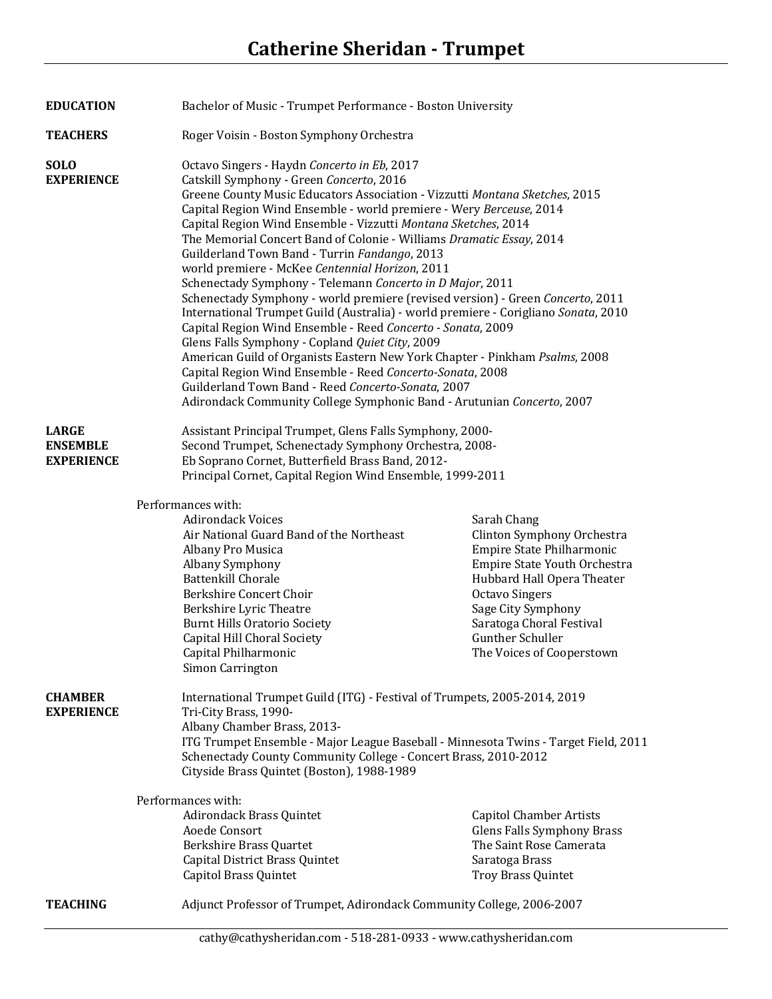| <b>EDUCATION</b>                                     |                                                                                                                                                                                                                                                                                                                                                                                                                                                                                                                                                                               | Bachelor of Music - Trumpet Performance - Boston University                                                                                                                                                                                                                                                                                                                                                                                                                                                                                                                                                                                                                                                                                                                                                                                                                  |  |  |
|------------------------------------------------------|-------------------------------------------------------------------------------------------------------------------------------------------------------------------------------------------------------------------------------------------------------------------------------------------------------------------------------------------------------------------------------------------------------------------------------------------------------------------------------------------------------------------------------------------------------------------------------|------------------------------------------------------------------------------------------------------------------------------------------------------------------------------------------------------------------------------------------------------------------------------------------------------------------------------------------------------------------------------------------------------------------------------------------------------------------------------------------------------------------------------------------------------------------------------------------------------------------------------------------------------------------------------------------------------------------------------------------------------------------------------------------------------------------------------------------------------------------------------|--|--|
| <b>TEACHERS</b>                                      | Roger Voisin - Boston Symphony Orchestra                                                                                                                                                                                                                                                                                                                                                                                                                                                                                                                                      |                                                                                                                                                                                                                                                                                                                                                                                                                                                                                                                                                                                                                                                                                                                                                                                                                                                                              |  |  |
| <b>SOLO</b><br><b>EXPERIENCE</b>                     | Octavo Singers - Haydn Concerto in Eb, 2017<br>Catskill Symphony - Green Concerto, 2016<br>Guilderland Town Band - Turrin Fandango, 2013<br>world premiere - McKee Centennial Horizon, 2011<br>Glens Falls Symphony - Copland Quiet City, 2009                                                                                                                                                                                                                                                                                                                                | Greene County Music Educators Association - Vizzutti Montana Sketches, 2015<br>Capital Region Wind Ensemble - world premiere - Wery Berceuse, 2014<br>Capital Region Wind Ensemble - Vizzutti Montana Sketches, 2014<br>The Memorial Concert Band of Colonie - Williams Dramatic Essay, 2014<br>Schenectady Symphony - Telemann Concerto in D Major, 2011<br>Schenectady Symphony - world premiere (revised version) - Green Concerto, 2011<br>International Trumpet Guild (Australia) - world premiere - Corigliano Sonata, 2010<br>Capital Region Wind Ensemble - Reed Concerto - Sonata, 2009<br>American Guild of Organists Eastern New York Chapter - Pinkham Psalms, 2008<br>Capital Region Wind Ensemble - Reed Concerto-Sonata, 2008<br>Guilderland Town Band - Reed Concerto-Sonata, 2007<br>Adirondack Community College Symphonic Band - Arutunian Concerto, 2007 |  |  |
| <b>LARGE</b><br><b>ENSEMBLE</b><br><b>EXPERIENCE</b> | Assistant Principal Trumpet, Glens Falls Symphony, 2000-<br>Second Trumpet, Schenectady Symphony Orchestra, 2008-<br>Eb Soprano Cornet, Butterfield Brass Band, 2012-<br>Principal Cornet, Capital Region Wind Ensemble, 1999-2011<br>Performances with:<br><b>Adirondack Voices</b><br>Air National Guard Band of the Northeast<br>Albany Pro Musica<br>Albany Symphony<br><b>Battenkill Chorale</b><br>Berkshire Concert Choir<br>Berkshire Lyric Theatre<br><b>Burnt Hills Oratorio Society</b><br>Capital Hill Choral Society<br>Capital Philharmonic<br>Simon Carrington | Sarah Chang<br>Clinton Symphony Orchestra<br>Empire State Philharmonic<br>Empire State Youth Orchestra<br>Hubbard Hall Opera Theater<br><b>Octavo Singers</b><br>Sage City Symphony<br>Saratoga Choral Festival<br>Gunther Schuller<br>The Voices of Cooperstown                                                                                                                                                                                                                                                                                                                                                                                                                                                                                                                                                                                                             |  |  |
| <b>CHAMBER</b><br><b>EXPERIENCE</b>                  | Tri-City Brass, 1990-<br>Albany Chamber Brass, 2013-<br>Cityside Brass Quintet (Boston), 1988-1989<br>Performances with:<br><b>Adirondack Brass Quintet</b><br>Aoede Consort<br>Berkshire Brass Quartet<br>Capital District Brass Quintet<br>Capitol Brass Quintet                                                                                                                                                                                                                                                                                                            | International Trumpet Guild (ITG) - Festival of Trumpets, 2005-2014, 2019<br>ITG Trumpet Ensemble - Major League Baseball - Minnesota Twins - Target Field, 2011<br>Schenectady County Community College - Concert Brass, 2010-2012<br><b>Capitol Chamber Artists</b><br><b>Glens Falls Symphony Brass</b><br>The Saint Rose Camerata<br>Saratoga Brass<br>Troy Brass Quintet                                                                                                                                                                                                                                                                                                                                                                                                                                                                                                |  |  |
| <b>TEACHING</b>                                      | Adjunct Professor of Trumpet, Adirondack Community College, 2006-2007                                                                                                                                                                                                                                                                                                                                                                                                                                                                                                         |                                                                                                                                                                                                                                                                                                                                                                                                                                                                                                                                                                                                                                                                                                                                                                                                                                                                              |  |  |